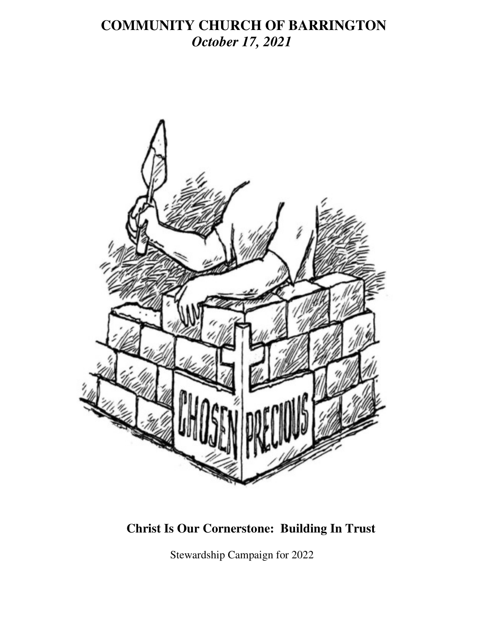## **COMMUNITY CHURCH OF BARRINGTON** *October 17, 2021*



 **Christ Is Our Cornerstone: Building In Trust** 

Stewardship Campaign for 2022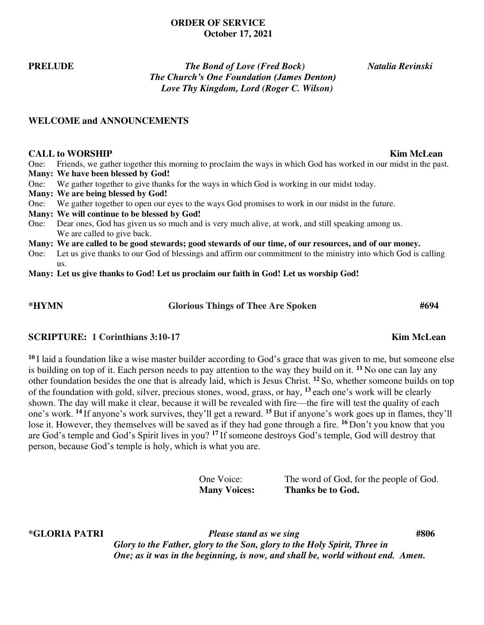### **ORDER OF SERVICE October 17, 2021**

## **PRELUDE** *The Bond of Love (Fred Bock) Natalia Revinski The Church's One Foundation (James Denton) Love Thy Kingdom, Lord (Roger C. Wilson)*

### **WELCOME and ANNOUNCEMENTS**

### **CALL to WORSHIP Kim McLean Kim McLean**

One: Friends, we gather together this morning to proclaim the ways in which God has worked in our midst in the past. **Many: We have been blessed by God!**

One: We gather together to give thanks for the ways in which God is working in our midst today.

**Many: We are being blessed by God!**

One: We gather together to open our eyes to the ways God promises to work in our midst in the future.

**Many: We will continue to be blessed by God!**

One: Dear ones, God has given us so much and is very much alive, at work, and still speaking among us. We are called to give back.

**Many: We are called to be good stewards; good stewards of our time, of our resources, and of our money.**

One: Let us give thanks to our God of blessings and affirm our commitment to the ministry into which God is calling us.

**Many: Let us give thanks to God! Let us proclaim our faith in God! Let us worship God!**

**\*HYMN Glorious Things of Thee Are Spoken #694** 

### **SCRIPTURE:** 1 Corinthians 3:10-17 **Kim McLean Kim McLean**

**<sup>10</sup>**I laid a foundation like a wise master builder according to God's grace that was given to me, but someone else is building on top of it. Each person needs to pay attention to the way they build on it. **<sup>11</sup>**No one can lay any other foundation besides the one that is already laid, which is Jesus Christ. **<sup>12</sup>**So, whether someone builds on top of the foundation with gold, silver, precious stones, wood, grass, or hay, **<sup>13</sup>**each one's work will be clearly shown. The day will make it clear, because it will be revealed with fire—the fire will test the quality of each one's work. **<sup>14</sup>**If anyone's work survives, they'll get a reward. **<sup>15</sup>**But if anyone's work goes up in flames, they'll lose it. However, they themselves will be saved as if they had gone through a fire. **<sup>16</sup>**Don't you know that you are God's temple and God's Spirit lives in you? **<sup>17</sup>**If someone destroys God's temple, God will destroy that person, because God's temple is holy, which is what you are.

| One Voice:          | The word of God, for the people of God. |
|---------------------|-----------------------------------------|
| <b>Many Voices:</b> | Thanks be to God.                       |

**\*GLORIA PATRI** *Please stand as we sing* **#806** *Glory to the Father, glory to the Son, glory to the Holy Spirit, Three in One; as it was in the beginning, is now, and shall be, world without end. Amen.*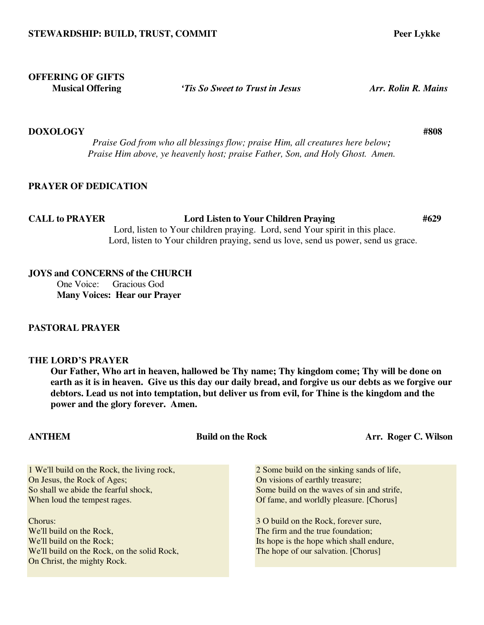# **OFFERING OF GIFTS**

 **Musical Offering** *'Tis So Sweet to Trust in Jesus Arr. Rolin R. Mains*

**DOXOLOGY****#808**

 *Praise God from who all blessings flow; praise Him, all creatures here below; Praise Him above, ye heavenly host; praise Father, Son, and Holy Ghost. Amen.* 

## **PRAYER OF DEDICATION**

**CALL to PRAYER Lord Listen to Your Children Praying #629**  Lord, listen to Your children praying. Lord, send Your spirit in this place. Lord, listen to Your children praying, send us love, send us power, send us grace.

**JOYS and CONCERNS of the CHURCH**  One Voice: Gracious God **Many Voices: Hear our Prayer** 

### **PASTORAL PRAYER**

### **THE LORD'S PRAYER**

**Our Father, Who art in heaven, hallowed be Thy name; Thy kingdom come; Thy will be done on earth as it is in heaven. Give us this day our daily bread, and forgive us our debts as we forgive our debtors. Lead us not into temptation, but deliver us from evil, for Thine is the kingdom and the power and the glory forever. Amen.** 

ANTHEM **Build on the Rock Arr. Roger C. Wilson** 

1 We'll build on the Rock, the living rock, On Jesus, the Rock of Ages; So shall we abide the fearful shock, When loud the tempest rages.

Chorus: We'll build on the Rock, We'll build on the Rock; We'll build on the Rock, on the solid Rock, On Christ, the mighty Rock.

2 Some build on the sinking sands of life, On visions of earthly treasure; Some build on the waves of sin and strife, Of fame, and worldly pleasure. [Chorus]

3 O build on the Rock, forever sure, The firm and the true foundation; Its hope is the hope which shall endure, The hope of our salvation. [Chorus]